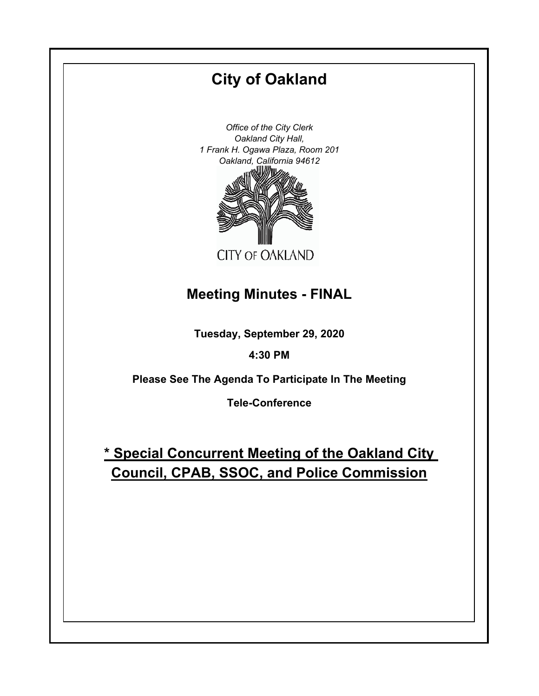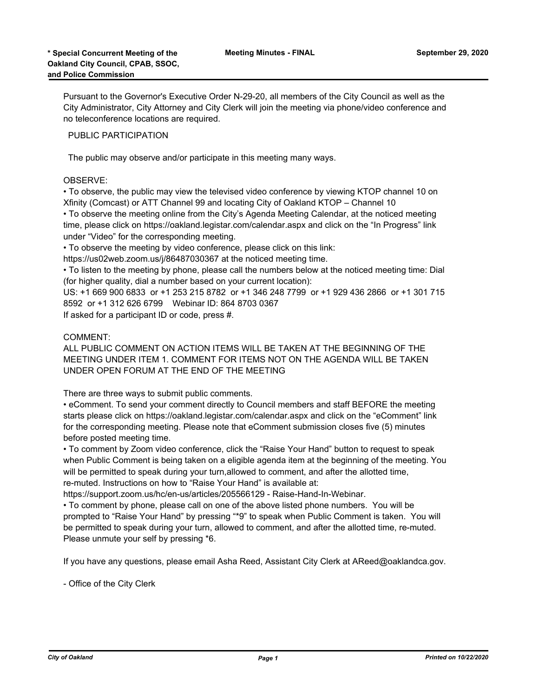Pursuant to the Governor's Executive Order N-29-20, all members of the City Council as well as the City Administrator, City Attorney and City Clerk will join the meeting via phone/video conference and no teleconference locations are required.

PUBLIC PARTICIPATION

The public may observe and/or participate in this meeting many ways.

## OBSERVE:

• To observe, the public may view the televised video conference by viewing KTOP channel 10 on Xfinity (Comcast) or ATT Channel 99 and locating City of Oakland KTOP – Channel 10

• To observe the meeting online from the City's Agenda Meeting Calendar, at the noticed meeting time, please click on https://oakland.legistar.com/calendar.aspx and click on the "In Progress" link under "Video" for the corresponding meeting.

• To observe the meeting by video conference, please click on this link:

https://us02web.zoom.us/j/86487030367 at the noticed meeting time.

• To listen to the meeting by phone, please call the numbers below at the noticed meeting time: Dial (for higher quality, dial a number based on your current location):

US: +1 669 900 6833 or +1 253 215 8782 or +1 346 248 7799 or +1 929 436 2866 or +1 301 715 8592 or +1 312 626 6799 Webinar ID: 864 8703 0367

If asked for a participant ID or code, press #.

### COMMENT:

ALL PUBLIC COMMENT ON ACTION ITEMS WILL BE TAKEN AT THE BEGINNING OF THE MEETING UNDER ITEM 1. COMMENT FOR ITEMS NOT ON THE AGENDA WILL BE TAKEN UNDER OPEN FORUM AT THE END OF THE MEETING

There are three ways to submit public comments.

• eComment. To send your comment directly to Council members and staff BEFORE the meeting starts please click on https://oakland.legistar.com/calendar.aspx and click on the "eComment" link for the corresponding meeting. Please note that eComment submission closes five (5) minutes before posted meeting time.

• To comment by Zoom video conference, click the "Raise Your Hand" button to request to speak when Public Comment is being taken on a eligible agenda item at the beginning of the meeting. You will be permitted to speak during your turn,allowed to comment, and after the allotted time, re-muted. Instructions on how to "Raise Your Hand" is available at:

https://support.zoom.us/hc/en-us/articles/205566129 - Raise-Hand-In-Webinar.

• To comment by phone, please call on one of the above listed phone numbers. You will be prompted to "Raise Your Hand" by pressing "\*9" to speak when Public Comment is taken. You will be permitted to speak during your turn, allowed to comment, and after the allotted time, re-muted. Please unmute your self by pressing \*6.

If you have any questions, please email Asha Reed, Assistant City Clerk at AReed@oaklandca.gov.

- Office of the City Clerk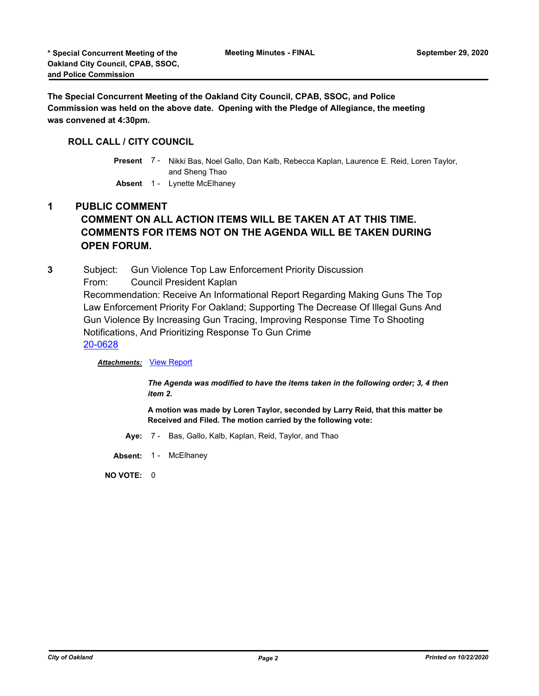**The Special Concurrent Meeting of the Oakland City Council, CPAB, SSOC, and Police Commission was held on the above date. Opening with the Pledge of Allegiance, the meeting was convened at 4:30pm.**

# **ROLL CALL / CITY COUNCIL**

Present 7 - Nikki Bas, Noel Gallo, Dan Kalb, Rebecca Kaplan, Laurence E. Reid, Loren Taylor, and Sheng Thao

**Absent** 1 - Lynette McElhaney

# **1 PUBLIC COMMENT COMMENT ON ALL ACTION ITEMS WILL BE TAKEN AT AT THIS TIME. COMMENTS FOR ITEMS NOT ON THE AGENDA WILL BE TAKEN DURING OPEN FORUM.**

**3** Subject: Gun Violence Top Law Enforcement Priority Discussion

From: Council President Kaplan

Recommendation: Receive An Informational Report Regarding Making Guns The Top Law Enforcement Priority For Oakland; Supporting The Decrease Of Illegal Guns And Gun Violence By Increasing Gun Tracing, Improving Response Time To Shooting Notifications, And Prioritizing Response To Gun Crime [20-0628](http://oakland.legistar.com/gateway.aspx?m=l&id=/matter.aspx?key=31611)

**Attachments: [View Report](http://oakland.legistar.com/gateway.aspx?M=F&ID=bcd0fda8-5696-46fe-acba-e9cf4c43186c.pdf)** 

*The Agenda was modified to have the items taken in the following order; 3, 4 then item 2.*

**A motion was made by Loren Taylor, seconded by Larry Reid, that this matter be Received and Filed. The motion carried by the following vote:**

- **Aye:** 7 Bas, Gallo, Kalb, Kaplan, Reid, Taylor, and Thao
- Absent: 1 McElhaney

**NO VOTE:** 0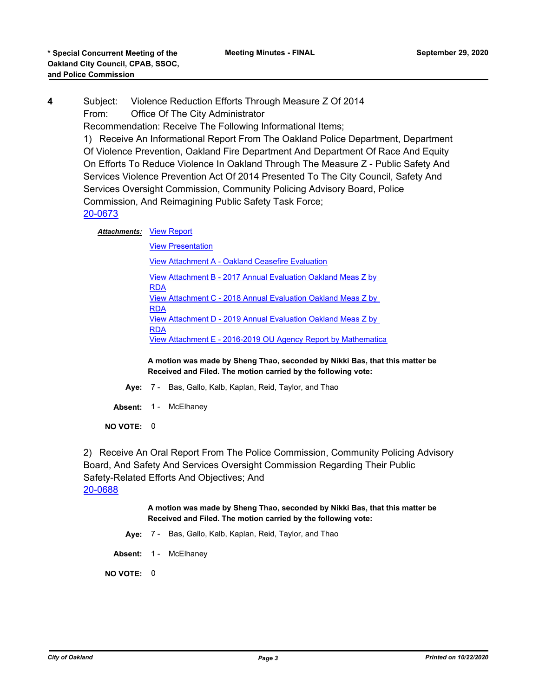**4** Subject: Violence Reduction Efforts Through Measure Z Of 2014 From: Office Of The City Administrator

Recommendation: Receive The Following Informational Items;

1) Receive An Informational Report From The Oakland Police Department, Department Of Violence Prevention, Oakland Fire Department And Department Of Race And Equity On Efforts To Reduce Violence In Oakland Through The Measure Z - Public Safety And Services Violence Prevention Act Of 2014 Presented To The City Council, Safety And Services Oversight Commission, Community Policing Advisory Board, Police Commission, And Reimagining Public Safety Task Force; [20-0673](http://oakland.legistar.com/gateway.aspx?m=l&id=/matter.aspx?key=31656)

**Attachments: [View Report](http://oakland.legistar.com/gateway.aspx?M=F&ID=a5f5fdd1-2c30-4a77-9756-a18da6ede2bb.pdf)** 

[View Presentation](http://oakland.legistar.com/gateway.aspx?M=F&ID=c2af7617-f6ba-4930-97bc-dad09c76c16b.pdf) [View Attachment A - Oakland Ceasefire Evaluation](http://oakland.legistar.com/gateway.aspx?M=F&ID=cb9631bb-6e69-48fa-b5d8-4085521ccfbb.pdf) [View Attachment B - 2017 Annual Evaluation Oakland Meas Z by](http://oakland.legistar.com/gateway.aspx?M=F&ID=8cfcc9fc-7c2f-443c-b928-b8acc32bcb83.pdf)  RDA [View Attachment C - 2018 Annual Evaluation Oakland Meas Z by](http://oakland.legistar.com/gateway.aspx?M=F&ID=ce1cf40b-e275-4675-a4f8-05e9c6fb36e1.pdf)  RDA [View Attachment D - 2019 Annual Evaluation Oakland Meas Z by](http://oakland.legistar.com/gateway.aspx?M=F&ID=a59cc588-0afd-4231-9d03-f90827286d03.pdf)  **RDA** [View Attachment E - 2016-2019 OU Agency Report by Mathematica](http://oakland.legistar.com/gateway.aspx?M=F&ID=1ade3bfb-8647-4d8d-9a4a-97e28bc28598.pdf)

**A motion was made by Sheng Thao, seconded by Nikki Bas, that this matter be Received and Filed. The motion carried by the following vote:**

**Aye:** 7 - Bas, Gallo, Kalb, Kaplan, Reid, Taylor, and Thao

Absent: 1 - McElhaney

**NO VOTE:** 0

2) Receive An Oral Report From The Police Commission, Community Policing Advisory Board, And Safety And Services Oversight Commission Regarding Their Public Safety-Related Efforts And Objectives; And [20-0688](http://oakland.legistar.com/gateway.aspx?m=l&id=/matter.aspx?key=31670)

> **A motion was made by Sheng Thao, seconded by Nikki Bas, that this matter be Received and Filed. The motion carried by the following vote:**

**Aye:** 7 - Bas, Gallo, Kalb, Kaplan, Reid, Taylor, and Thao

Absent: 1 - McElhaney

**NO VOTE:** 0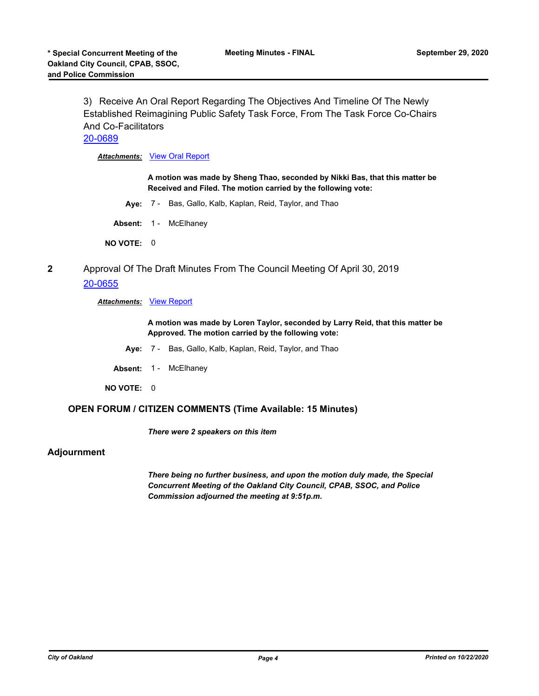3) Receive An Oral Report Regarding The Objectives And Timeline Of The Newly Established Reimagining Public Safety Task Force, From The Task Force Co-Chairs And Co-Facilitators

# [20-0689](http://oakland.legistar.com/gateway.aspx?m=l&id=/matter.aspx?key=31671)

*Attachments:* [View Oral Report](http://oakland.legistar.com/gateway.aspx?M=F&ID=eddd32e0-a5d8-4fa1-8280-738e8491cd6a.pdf)

**A motion was made by Sheng Thao, seconded by Nikki Bas, that this matter be Received and Filed. The motion carried by the following vote:**

**Aye:** 7 - Bas, Gallo, Kalb, Kaplan, Reid, Taylor, and Thao

Absent: 1 - McElhaney

**NO VOTE:** 0

**2** Approval Of The Draft Minutes From The Council Meeting Of April 30, 2019 [20-0655](http://oakland.legistar.com/gateway.aspx?m=l&id=/matter.aspx?key=31638)

#### *Attachments:* [View Report](http://oakland.legistar.com/gateway.aspx?M=F&ID=8e0c06d7-4142-4bf5-831b-2a5113763f00.pdf)

**A motion was made by Loren Taylor, seconded by Larry Reid, that this matter be Approved. The motion carried by the following vote:**

- **Aye:** 7 Bas, Gallo, Kalb, Kaplan, Reid, Taylor, and Thao
- Absent: 1 McElhaney
- **NO VOTE:** 0

#### **OPEN FORUM / CITIZEN COMMENTS (Time Available: 15 Minutes)**

*There were 2 speakers on this item*

## **Adjournment**

*There being no further business, and upon the motion duly made, the Special Concurrent Meeting of the Oakland City Council, CPAB, SSOC, and Police Commission adjourned the meeting at 9:51p.m.*